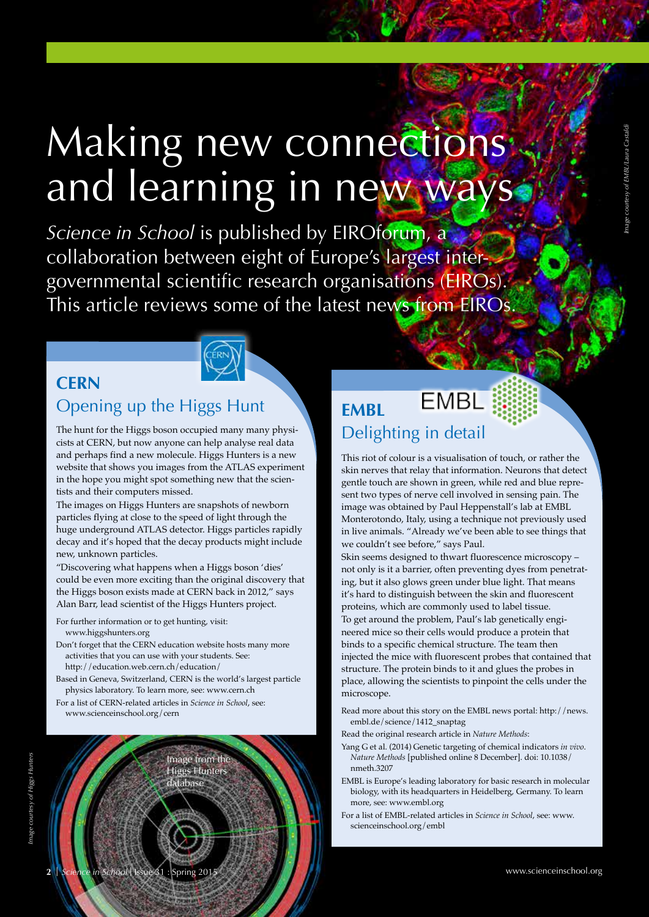# Making new connections: and learning in new ways

*Science in School* is published by EIROforum, a collaboration between eight of Europe's largest intergovernmental scientific research organisations (EIROs). This article reviews some of the latest news from EIROs.

### **CERN** Opening up the Higgs Hunt

The hunt for the Higgs boson occupied many many physicists at CERN, but now anyone can help analyse real data and perhaps find a new molecule. Higgs Hunters is a new website that shows you images from the ATLAS experiment in the hope you might spot something new that the scientists and their computers missed.

The images on Higgs Hunters are snapshots of newborn particles flying at close to the speed of light through the huge underground ATLAS detector. Higgs particles rapidly decay and it's hoped that the decay products might include new, unknown particles.

"Discovering what happens when a Higgs boson 'dies' could be even more exciting than the original discovery that the Higgs boson exists made at CERN back in 2012," says Alan Barr, lead scientist of the Higgs Hunters project.

For further information or to get hunting, visit: www.higgshunters.org

- Don't forget that the CERN education website hosts many more activities that you can use with your students. See: http://education.web.cern.ch/education/
- Based in Geneva, Switzerland, CERN is the world's largest particle physics laboratory. To learn more, see: www.cern.ch

Image from the Higgs Hunters database

For a list of CERN-related articles in *Science in School*, see: www.scienceinschool.org/cern



### **EMBL EMBL** Delighting in detail

This riot of colour is a visualisation of touch, or rather the skin nerves that relay that information. Neurons that detect gentle touch are shown in green, while red and blue represent two types of nerve cell involved in sensing pain. The image was obtained by Paul Heppenstall's lab at EMBL Monterotondo, Italy, using a technique not previously used in live animals. "Already we've been able to see things that we couldn't see before," says Paul.

Skin seems designed to thwart fluorescence microscopy – not only is it a barrier, often preventing dyes from penetrating, but it also glows green under blue light. That means it's hard to distinguish between the skin and fluorescent proteins, which are commonly used to label tissue.

To get around the problem, Paul's lab genetically engineered mice so their cells would produce a protein that binds to a specific chemical structure. The team then injected the mice with fluorescent probes that contained that structure. The protein binds to it and glues the probes in place, allowing the scientists to pinpoint the cells under the microscope.

Read more about this story on the EMBL news portal: http://news. embl.de/science/1412\_snaptag

Read the original research article in *Nature Methods*:

- Yang G et al. (2014) Genetic targeting of chemical indicators *in vivo*. *Nature Methods* [published online 8 December]. doi: 10.1038/ nmeth.3207
- EMBL is Europe's leading laboratory for basic research in molecular biology, with its headquarters in Heidelberg, Germany. To learn more, see: www.embl.org
- For a list of EMBL-related articles in *Science in School*, see: www. scienceinschool.org/embl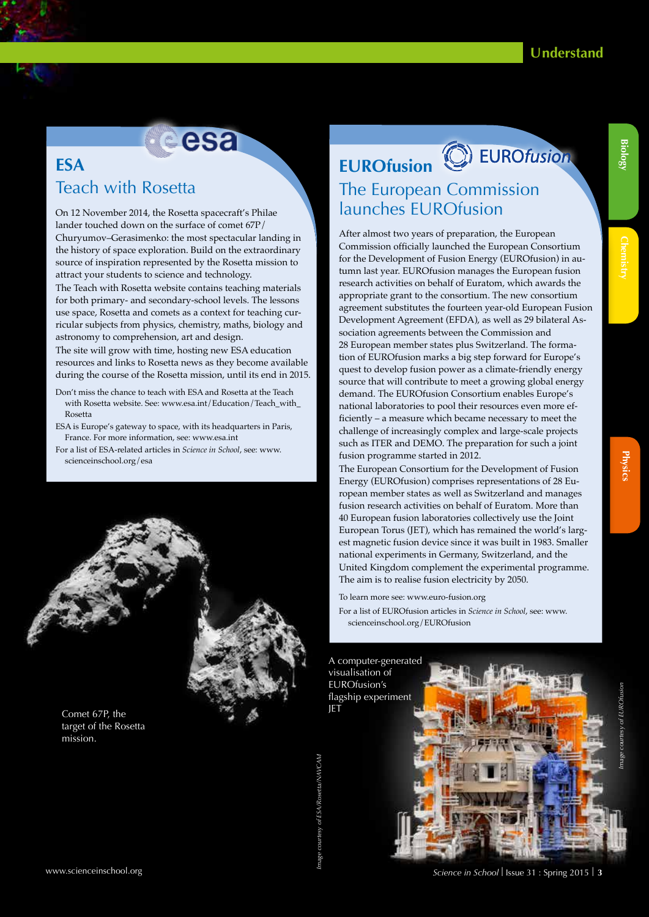# esa

### **ESA** Teach with Rosetta

On 12 November 2014, the Rosetta spacecraft's Philae lander touched down on the surface of comet 67P/ Churyumov–Gerasimenko: the most spectacular landing in the history of space exploration. Build on the extraordinary source of inspiration represented by the Rosetta mission to attract your students to science and technology.

The Teach with Rosetta website contains teaching materials for both primary- and secondary-school levels. The lessons use space, Rosetta and comets as a context for teaching curricular subjects from physics, chemistry, maths, biology and astronomy to comprehension, art and design.

The site will grow with time, hosting new ESA education resources and links to Rosetta news as they become available during the course of the Rosetta mission, until its end in 2015.

- Don't miss the chance to teach with ESA and Rosetta at the Teach with Rosetta website. See: www.esa.int/Education/Teach\_with Rosetta
- ESA is Europe's gateway to space, with its headquarters in Paris, France. For more information, see: www.esa.int
- For a list of ESA-related articles in *Science in School*, see: www. scienceinschool.org/esa



#### Comet 67P, the target of the Rosetta mission.

## **EUROfusion** The European Commission launches EUROfusion

After almost two years of preparation, the European Commission officially launched the European Consortium for the Development of Fusion Energy (EUROfusion) in autumn last year. EUROfusion manages the European fusion research activities on behalf of Euratom, which awards the appropriate grant to the consortium. The new consortium agreement substitutes the fourteen year-old European Fusion Development Agreement (EFDA), as well as 29 bilateral Association agreements between the Commission and 28 European member states plus Switzerland. The formation of EUROfusion marks a big step forward for Europe's quest to develop fusion power as a climate-friendly energy source that will contribute to meet a growing global energy demand. The EUROfusion Consortium enables Europe's national laboratories to pool their resources even more efficiently – a measure which became necessary to meet the challenge of increasingly complex and large-scale projects such as ITER and DEMO. The preparation for such a joint fusion programme started in 2012.

The European Consortium for the Development of Fusion Energy (EUROfusion) comprises representations of 28 European member states as well as Switzerland and manages fusion research activities on behalf of Euratom. More than 40 European fusion laboratories collectively use the Joint European Torus (JET), which has remained the world's largest magnetic fusion device since it was built in 1983. Smaller national experiments in Germany, Switzerland, and the United Kingdom complement the experimental programme. The aim is to realise fusion electricity by 2050.

To learn more see: www.euro-fusion.org

For a list of EUROfusion articles in *Science in School*, see: www. scienceinschool.org/EUROfusion

A computer-generated visualisation of EUROfusion's flagship experiment JET

*Image courtesy of ESA/Rosetta/NAVCAM* 



**Chemistry** 

**Biology**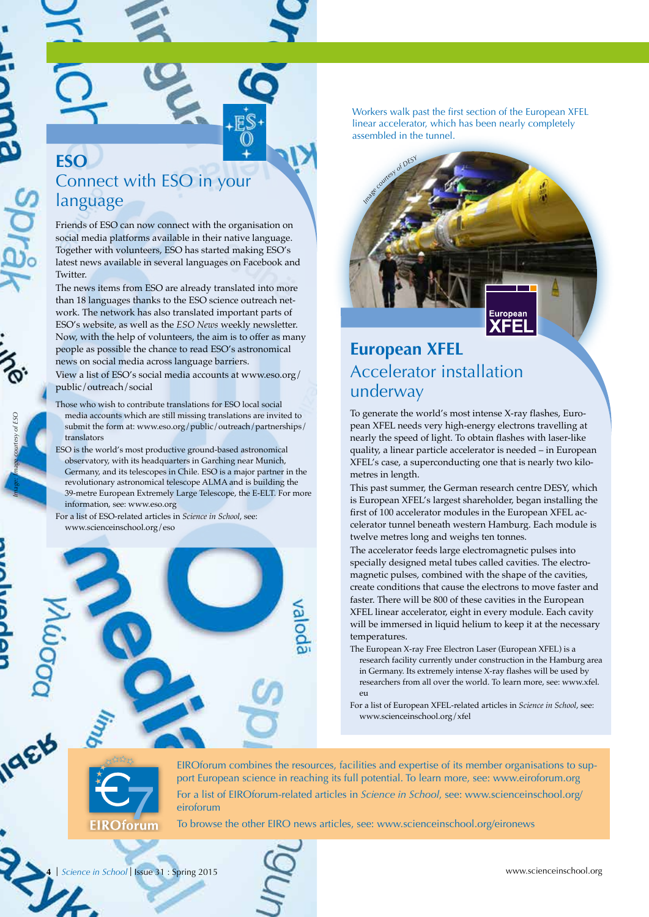*Image: Image courtesy of ESO*

IqEB

### **ESO** Connect with ESO in your language

Friends of ESO can now connect with the organisation on social media platforms available in their native language. Together with volunteers, ESO has started making ESO's latest news available in several languages on Facebook and Twitter.

The news items from ESO are already translated into more than 18 languages thanks to the ESO science outreach network. The network has also translated important parts of ESO's website, as well as the *ESO News* weekly newsletter. Now, with the help of volunteers, the aim is to offer as many people as possible the chance to read ESO's astronomical news on social media across language barriers. View a list of ESO's social media accounts at www.eso.org/ public/outreach/social

- Those who wish to contribute translations for ESO local social media accounts which are still missing translations are invited to submit the form at: www.eso.org/public/outreach/partnerships/ translators
- ESO is the world's most productive ground-based astronomical observatory, with its headquarters in Garching near Munich, Germany, and its telescopes in Chile. ESO is a major partner in the revolutionary astronomical telescope ALMA and is building the 39-metre European Extremely Large Telescope, the E-ELT. For more information, see: www.eso.org

For a list of ESO-related articles in *Science in School*, see: www.scienceinschool.org/eso

Workers walk past the first section of the European XFEL linear accelerator, which has been nearly completely assembled in the tunnel.



### **European XFEL** Accelerator installation underway

To generate the world's most intense X-ray flashes, European XFEL needs very high-energy electrons travelling at nearly the speed of light. To obtain flashes with laser-like quality, a linear particle accelerator is needed – in European XFEL's case, a superconducting one that is nearly two kilometres in length.

This past summer, the German research centre DESY, which is European XFEL's largest shareholder, began installing the first of 100 accelerator modules in the European XFEL accelerator tunnel beneath western Hamburg. Each module is twelve metres long and weighs ten tonnes.

The accelerator feeds large electromagnetic pulses into specially designed metal tubes called cavities. The electromagnetic pulses, combined with the shape of the cavities, create conditions that cause the electrons to move faster and faster. There will be 800 of these cavities in the European XFEL linear accelerator, eight in every module. Each cavity will be immersed in liquid helium to keep it at the necessary temperatures.

- The European X-ray Free Electron Laser (European XFEL) is a research facility currently under construction in the Hamburg area in Germany. Its extremely intense X-ray flashes will be used by researchers from all over the world. To learn more, see: www.xfel. eu
- For a list of European XFEL-related articles in *Science in School*, see: www.scienceinschool.org/xfel



EIROforum combines the resources, facilities and expertise of its member organisations to support European science in reaching its full potential. To learn more, see: www.eiroforum.org For a list of EIROforum-related articles in *Science in School*, see: www.scienceinschool.org/ eiroforum

To browse the other EIRO news articles, see: www.scienceinschool.org/eironews